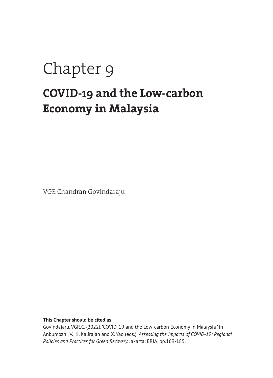# Chapter 9

### **COVID-19 and the Low-carbon Economy in Malaysia**

VGR Chandran Govindaraju

**This Chapter should be cited as** 

Govindajaru, VGR,C. (2022), 'COVID-19 and the Low-carbon Economy in Malaysia ' in Anbumozhi, V., K. Kalirajan and X. Yao (eds.), *Assessing the Impacts of COVID-19: Regional Policies and Practices for Green Recovery.* Jakarta: ERIA, pp.169-185.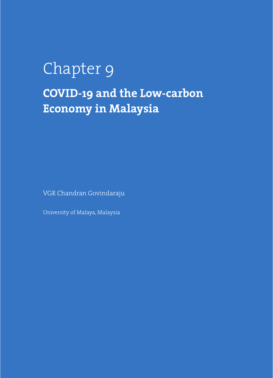## Chapter 9 **COVID-19 and the Low-carbon Economy in Malaysia**

VGR Chandran Govindaraju

University of Malaya, Malaysia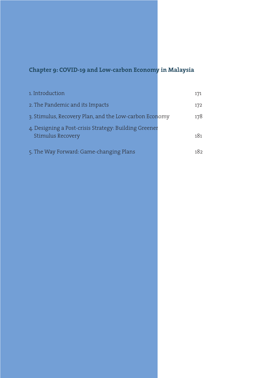#### **Chapter 9: COVID-19 and Low-carbon Economy in Malaysia**

| 1. Introduction                                                                   | 171 |
|-----------------------------------------------------------------------------------|-----|
| 2. The Pandemic and its Impacts                                                   | 172 |
| 3. Stimulus, Recovery Plan, and the Low-carbon Economy                            | 178 |
| 4. Designing a Post-crisis Strategy: Building Greener<br><b>Stimulus Recovery</b> | 181 |
| 5. The Way Forward: Game-changing Plans                                           | 182 |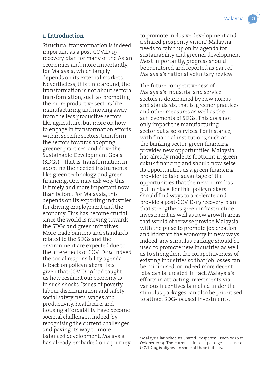#### **1. Introduction**

Structural transformation is indeed important as a post-COVID-19 recovery plan for many of the Asian economies and, more importantly, for Malaysia, which largely depends on its external markets. Nevertheless, this time around, the transformation is not about sectoral transformation, such as promoting the more productive sectors like manufacturing and moving away from the less productive sectors like agriculture, but more on how to engage in transformation efforts within specific sectors, transform the sectors towards adopting greener practices, and drive the Sustainable Development Goals (SDGs) – that is, transformation in adopting the needed instruments like green technology and green financing. One may ask why this is timely and more important now than before. For Malaysia, this depends on its exporting industries for driving employment and the economy. This has become crucial since the world is moving towards the SDGs and green initiatives. More trade barriers and standards related to the SDGs and the environment are expected due to the aftereffects of COVID-19. Indeed, the social responsibility agenda is back on policymakers' lists given that COVID-19 had taught us how resilient our economy is to such shocks. Issues of poverty, labour discrimination and safety, social safety nets, wages and productivity, healthcare, and housing affordability have become societal challenges. Indeed, by recognising the current challenges and paving its way to more balanced development, Malaysia has already embarked on a journey

to promote inclusive development and a shared prosperity vision.<del>'</del> Malaysia needs to catch up on its agenda for sustainability and greener development. Most importantly, progress should be monitored and reported as part of Malaysia's national voluntary review.

The future competitiveness of Malaysia's industrial and service sectors is determined by new norms and standards, that is, greener practices and other measures as well as the achievements of SDGs. This does not only impact the manufacturing sector but also services. For instance, with financial institutions, such as the banking sector, green financing provides new opportunities. Malaysia has already made its footprint in green sukuk financing and should now seize its opportunities as a green financing provider to take advantage of the opportunities that the new norm has put in place. For this, policymakers should find ways to accelerate and provide a post-COVID-19 recovery plan that strengthens green infrastructure investment as well as new growth areas that would otherwise provide Malaysia with the pulse to promote job creation and kickstart the economy in new ways. Indeed, any stimulus package should be used to promote new industries as well as to strengthen the competitiveness of existing industries so that job losses can be minimised, or indeed more decent jobs can be created. In fact, Malaysia's efforts in attracting investments via various incentives launched under the stimulus packages can also be prioritised to attract SDG-focused investments.

<sup>1</sup> Malaysia launched its Shared Prosperity Vision 2030 in October 2019. The current stimulus package, because of COVID-19, is aligned to some of these initiatives.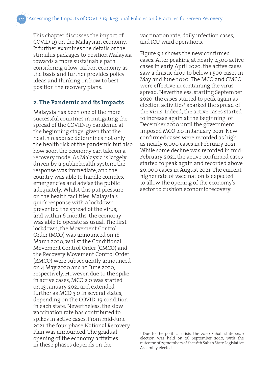This chapter discusses the impact of COVID-19 on the Malaysian economy. It further examines the details of the stimulus packages to position Malaysia towards a more sustainable path considering a low-carbon economy as the basis and further provides policy ideas and thinking on how to best position the recovery plans.

#### **2. The Pandemic and its Impacts**

Malaysia has been one of the more successful countries in mitigating the spread of the COVID-19 pandemic at the beginning stage, given that the health response determines not only the health risk of the pandemic but also how soon the economy can take on a recovery mode. As Malaysia is largely driven by a public health system, the response was immediate, and the country was able to handle complex emergencies and advise the public adequately. Whilst this put pressure on the health facilities, Malaysia's quick response with a lockdown prevented the spread of the virus, and within 6 months, the economy was able to operate as usual. The first lockdown, the Movement Control Order (MCO) was announced on 18 March 2020, whilst the Conditional Movement Control Order (CMCO) and the Recovery Movement Control Order (RMCO) were subsequently announced on 4 May 2020 and 10 June 2020, respectively. However, due to the spike in active cases, MCO 2.0 was started on 13 January 2021 and extended further as MCO 3.0 in several states, depending on the COVID-19 condition in each state. Nevertheless, the slow vaccination rate has contributed to spikes in active cases. From mid-June 2021, the four-phase National Recovery Plan was announced. The gradual opening of the economy activities in these phases depends on the

vaccination rate, daily infection cases, and ICU ward operations.

Figure 9.1 shows the new confirmed cases. After peaking at nearly 2,500 active cases in early April 2020, the active cases saw a drastic drop to below 1,500 cases in May and June 2020. The MCO and CMCO were effective in containing the virus spread. Nevertheless, starting September 2020, the cases started to peak again as election activities<sup>2</sup> sparked the spread of the virus. Indeed, the active cases started to increase again at the beginning of December 2020 until the government imposed MCO 2.0 in January 2021. New confirmed cases were recorded as high as nearly 6,000 cases in February 2021. While some decline was recorded in mid-February 2021, the active confirmed cases started to peak again and recorded above 20,000 cases in August 2021. The current higher rate of vaccination is expected to allow the opening of the economy's sector to cushion economic recovery.

<sup>2</sup> Due to the political crisis, the 2020 Sabah state snap election was held on 26 September 2020, with the outcome of 73 members of the 16th Sabah State Legislative Assembly elected.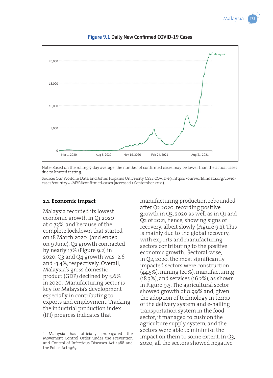

#### **Figure 9.1 Daily New Confirmed COVID-19 Cases**

Note: Based on the rolling 7-day average; the number of confirmed cases may be lower than the actual cases due to limited testing.

Source: Our World in Data and Johns Hopkins University CSSE COVID-19. https://ourworldindata.org/covidcases?country=~MYS#confirmed-cases (accessed 1 September 2021).

#### **2.1. Economic impact**

Malaysia recorded its lowest economic growth in Q1 2020 at 0.73%, and because of the complete lockdown that started on 18 March 20203 (and ended on 9 June), Q2 growth contracted by nearly 17% (Figure 9.2) in 2020. Q3 and Q4 growth was -2.6 and -3.4%, respectively. Overall, Malaysia's gross domestic product (GDP) declined by 5.6% in 2020. Manufacturing sector is key for Malaysia's development especially in contributing to exports and employment. Tracking the industrial production index (IPI) progress indicates that

3 Malaysia has officially propagated the Movement Control Order under the Prevention and Control of Infectious Diseases Act 1988 and the Police Act 1967.

manufacturing production rebounded after Q2 2020, recording positive growth in Q3, 2020 as well as in Q1 and Q2 of 2021, hence, showing signs of recovery, albeit slowly (Figure 9.2). This is mainly due to the global recovery, with exports and manufacturing sectors contributing to the positive economic growth. Sectoral-wise, in Q2, 2020, the most significantly impacted sectors were construction (44.5%), mining (20%), manufacturing (18.3%), and services (16.2%), as shown in Figure 9.3. The agricultural sector showed growth of 0.99% and, given the adoption of technology in terms of the delivery system and e-hailing transportation system in the food sector, it managed to cushion the agriculture supply system, and the sectors were able to minimise the impact on them to some extent. In Q3, 2020, all the sectors showed negative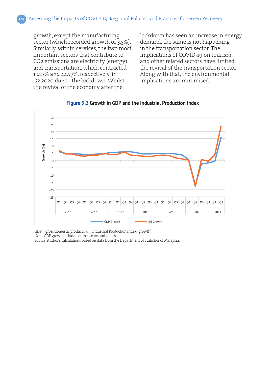growth, except the manufacturing sector (which recorded growth of 3.3%). Similarly, within services, the two most important sectors that contribute to CO2 emissions are electricity (energy) and transportation, which contracted 13.27% and 44.77%, respectively, in Q2 2020 due to the lockdown. Whilst the revival of the economy after the

lockdown has seen an increase in energy demand, the same is not happening in the transportation sector. The implications of COVID-19 on tourism and other related sectors have limited the revival of the transportation sector. Along with that, the environmental implications are minimised.



**Figure 9.2 Growth in GDP and the Industrial Production Index**

GDP = gross domestic product, IPI = Industrial Production Index (growth). Note: GDP growth is based on 2015 constant prices.

Source: Author's calculations based on data from the Department of Statistics of Malaysia.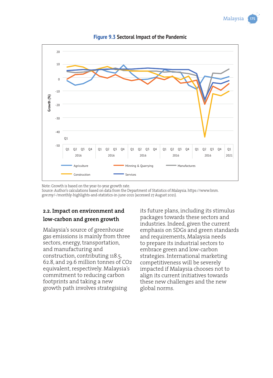



**Figure 9.3 Sectoral Impact of the Pandemic**

Note: Growth is based on the year-to-year growth rate.

Source: Author's calculations based on data from the Department of Statistics of Malaysia. https://www.bnm. gov.my/-/monthly-highlights-and-statistics-in-june-2021 (accessed 27 August 2021).

#### **2.2. Impact on environment and low-carbon and green growth**

Malaysia's source of greenhouse gas emissions is mainly from three sectors, energy, transportation, and manufacturing and construction, contributing 118.5, 62.8, and 29.6 million tonnes of CO2 equivalent, respectively. Malaysia's commitment to reducing carbon footprints and taking a new growth path involves strategising

its future plans, including its stimulus packages towards these sectors and industries. Indeed, given the current emphasis on SDGs and green standards and requirements, Malaysia needs to prepare its industrial sectors to embrace green and low-carbon strategies. International marketing competitiveness will be severely impacted if Malaysia chooses not to align its current initiatives towards these new challenges and the new global norms.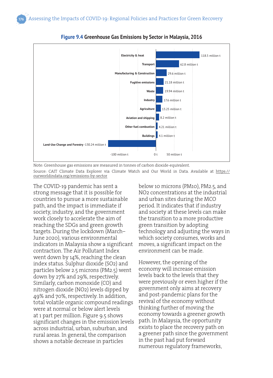



Note: Greenhouse gas emissions are measured in tonnes of carbon dioxide-equivalent. Source: CAIT Climate Data Explorer via Climate Watch and Our World in Data. Available at https:// ourworldindata.org/emissions-by-sector

The COVID-19 pandemic has sent a strong message that it is possible for countries to pursue a more sustainable path, and the impact is immediate if society, industry, and the government work closely to accelerate the aim of reaching the SDGs and green growth targets. During the lockdown (March– June 2020), various environmental indicators in Malaysia show a significant contraction. The Air Pollutant Index went down by 14%, reaching the clean index status. Sulphur dioxide (SO2) and particles below 2.5 microns (PM2.5) went down by 27% and 29%, respectively. Similarly, carbon monoxide (CO) and nitrogen dioxide (NO2) levels dipped by 49% and 70%, respectively. In addition, total volatile organic compound readings were at normal or below alert levels at 1 part per million. Figure 9.5 shows significant changes in the emission levels across industrial, urban, suburban, and rural areas. In general, the comparison shows a notable decrease in particles

below 10 microns (PM10), PM2.5, and NO2 concentrations at the industrial and urban sites during the MCO period. It indicates that if industry and society at these levels can make the transition to a more productive green transition by adopting technology and adjusting the ways in which society consumes, works and moves, a significant impact on the environment can be made.

However, the opening of the economy will increase emission levels back to the levels that they were previously or even higher if the government only aims at recovery and post-pandemic plans for the revival of the economy without thinking further of moving the economy towards a greener growth path. In Malaysia, the opportunity exists to place the recovery path on a greener path since the government in the past had put forward numerous regulatory frameworks,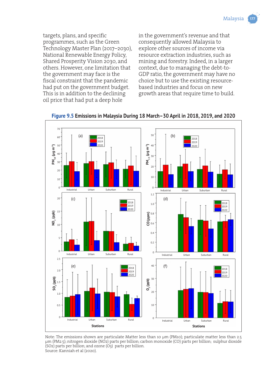

targets, plans, and specific programmes, such as the Green Technology Master Plan (2017–2030), National Renewable Energy Policy, Shared Prosperity Vision 2030, and others. However, one limitation that the government may face is the fiscal constraint that the pandemic had put on the government budget. This is in addition to the declining oil price that had put a deep hole

in the government's revenue and that consequently allowed Malaysia to explore other sources of income via resource extraction industries, such as mining and forestry. Indeed, in a larger context, due to managing the debt-to-GDP ratio, the government may have no choice but to use the existing resourcebased industries and focus on new growth areas that require time to build.



**Figure 9.5 Emissions in Malaysia During 18 March–30 April in 2018, 2019, and 2020**

Note: The emissions shown are particulate Matter less than 10 μm (PM10); particulate matter less than 2.5 μm (PM2.5); nitrogen dioxide (NO2) parts per billion; carbon monoxide (CO) parts per billion; sulphur dioxide (SO2) parts per billion; and ozone (O3) parts per billion. Source: Kanniah et al (2020).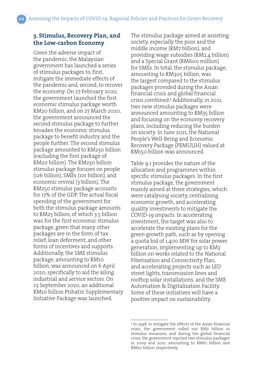#### **3. Stimulus, Recovery Plan, and the Low-carbon Economy**

Given the adverse impact of the pandemic, the Malaysian government has launched a series of stimulus packages to, first, mitigate the immediate effects of the pandemic and, second, to recover the economy. On 27 February 2020, the government launched the first economic stimulus package worth RM20 billion, and on 27 March 2020, the government announced the second stimulus package to further broaden the economic stimulus package to benefit industry and the people further. The second stimulus package amounted to RM230 billion (excluding the first package of RM20 billion). The RM230 billion stimulus package focuses on people (126 billion), SMEs (101 billion), and economic revival (3 billion). The RM250 stimulus package accounts for 17% of the GDP. The actual fiscal spending of the government for both the stimulus package amounts to RM25 billion, of which 3.5 billion was for the first economic stimulus package, given that many other packages are in the form of tax relief, loan deferment, and other forms of incentives and supports. Additionally, the SME stimulus package, amounting to RM10 billion, was announced on 6 April 2020, specifically to aid the ailing industrial and service sectors. On 23 September 2020, an additional RM10 billion Prihatin Supplementary Initiative Package was launched.

The stimulus package aimed at assisting society, especially the poor and the middle income (RM7 billion), and providing wage subsidies (RM2.4 billion) and a Special Grant (RM600 million) for SMEs. In total, the stimulus package, amounting to RM305 billion, was the largest compared to the stimulus packages provided during the Asian financial crisis and global financial crisis combined.4 Additionally, in 2021, two new stimulus packages were announced amounting to RM35 billion and focusing on the economy recovery plans, including reducing the burden on society. In June 2021, the National People's Well-Being and Economic Recovery Package (PEMULIH) valued at RM150 billion was announced.

Table 9.1 provides the nature of the allocation and programmes within specific stimulus packages. In the first stimulus package, the government mainly aimed at three strategies, which were catalysing society, centralising economic growth, and accelerating quality investments to mitigate the COVID-19 impacts. In accelerating investment, the target was also to accelerate the existing plans for the green growth path, such as by opening a quota bid of 1,400 MW for solar power generation, implementing up to RM3 billion on works related to the National Fiberisation and Connectivity Plan, and accelerating projects such as LED street lights, transmission lines and rooftop solar installations, and the SME Automation & Digitalization Facility. Some of these initiatives will have a positive impact on sustainability.

<sup>4</sup> In 1998, to mitigate the effects of the Asian financial crisis, the government rolled out RM7 billion in stimulus measures, and during the global financial crisis, the government injected two stimulus packages in 2009 and 2010, amounting to RM67 billion and RM60 billion, respectively.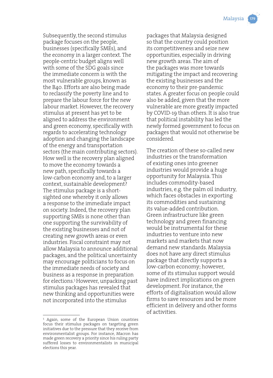

Subsequently, the second stimulus package focuses on the people, businesses (specifically SMEs), and the economy in a larger context. The people-centric budget aligns well with some of the SDG goals since the immediate concern is with the most vulnerable groups, known as the B40. Efforts are also being made to reclassify the poverty line and to prepare the labour force for the new labour market. However, the recovery stimulus at present has yet to be aligned to address the environment and green economy, specifically with regards to accelerating technology adoption and changing the landscape of the energy and transportation sectors (the main contributing sectors). How well is the recovery plan aligned to move the economy towards a new path, specifically towards a low-carbon economy and, to a larger context, sustainable development? The stimulus package is a shortsighted one whereby it only allows a response to the immediate impact on society. Indeed, the recovery plan supporting SMEs is none other than one supporting the survivability of the existing businesses and not of creating new growth areas or even industries. Fiscal constraint may not allow Malaysia to announce additional packages, and the political uncertainty may encourage politicians to focus on the immediate needs of society and business as a response in preparation for elections.5However, unpacking past stimulus packages has revealed that new thinking and opportunities were not incorporated into the stimulus

packages that Malaysia designed so that the country could position its competitiveness and seize new opportunities, especially in driving new growth areas. The aim of the packages was more towards mitigating the impact and recovering the existing businesses and the economy to their pre-pandemic states. A greater focus on people could also be added, given that the more vulnerable are more greatly impacted by COVID-19 than others. It is also true that political instability has led the newly formed government to focus on packages that would not otherwise be considered.

The creation of these so-called new industries or the transformation of existing ones into greener industries would provide a huge opportunity for Malaysia. This includes commodity-based industries, e.g. the palm oil industry, which faces obstacles in exporting its commodities and sustaining its value-added contribution. Green infrastructure like green technology and green financing would be instrumental for these industries to venture into new markets and markets that now demand new standards. Malaysia does not have any direct stimulus package that directly supports a low-carbon economy; however, some of its stimulus support would have indirect implications on green development. For instance, the efforts of digitalisation would allow firms to save resources and be more efficient in delivery and other forms of activities.

<sup>5</sup> Again, some of the European Union countries focus their stimulus packages on targeting green initiatives due to the pressure that they receive from environmentalist groups. For instance, Macron has made green recovery a priority since his ruling party suffered losses to environmentalists in municipal elections this year.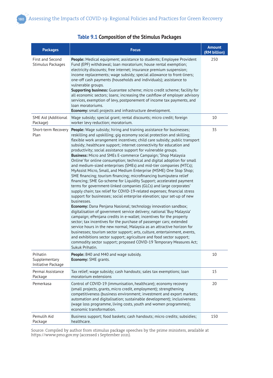| <b>Packages</b>                                 | <b>Focus</b>                                                                                                                                                                                                                                                                                                                                                                                                                                                                                                                                                                                                                                                                                                                                                                                                                                                                                                                                                                                                                                                                                                                                                                                                                                                                                                                                                                                                                                                                                                                                                                                                                                                                                    | <b>Amount</b><br>(RM billion) |
|-------------------------------------------------|-------------------------------------------------------------------------------------------------------------------------------------------------------------------------------------------------------------------------------------------------------------------------------------------------------------------------------------------------------------------------------------------------------------------------------------------------------------------------------------------------------------------------------------------------------------------------------------------------------------------------------------------------------------------------------------------------------------------------------------------------------------------------------------------------------------------------------------------------------------------------------------------------------------------------------------------------------------------------------------------------------------------------------------------------------------------------------------------------------------------------------------------------------------------------------------------------------------------------------------------------------------------------------------------------------------------------------------------------------------------------------------------------------------------------------------------------------------------------------------------------------------------------------------------------------------------------------------------------------------------------------------------------------------------------------------------------|-------------------------------|
| <b>First and Second</b><br>Stimulus Packages    | People: Medical equipment; assistance to students; Employee Provident<br>Fund (EPF) withdrawal; loan moratorium; house rental exemption;<br>electricity discounts; free internet; insurance premium suspension;<br>income replacements; wage subsidy; special allowance to front-liners;<br>one-off cash payments (households and individuals); assistance to<br>vulnerable groups.<br><b>Supporting business:</b> Guarantee scheme; micro credit scheme; facility for<br>all economic sectors; loans; increasing the cashflow of employer advisory<br>services, exemption of levy, postponement of income tax payments, and<br>loan moratoriums.<br><b>Economy:</b> small projects and infrastructure development.                                                                                                                                                                                                                                                                                                                                                                                                                                                                                                                                                                                                                                                                                                                                                                                                                                                                                                                                                                             | 250                           |
| SME Aid (Additional<br>Package)                 | Wage subsidy; special grant; rental discounts; micro credit; foreign<br>worker levy reduction; moratorium.                                                                                                                                                                                                                                                                                                                                                                                                                                                                                                                                                                                                                                                                                                                                                                                                                                                                                                                                                                                                                                                                                                                                                                                                                                                                                                                                                                                                                                                                                                                                                                                      | 10                            |
| Short-term Recovery<br>Plan                     | <b>People:</b> Wage subsidy; hiring and training assistance for businesses;<br>reskilling and upskilling; gig economy social protection and skilling;<br>flexible work arrangement incentives; child care subsidy; public transport<br>subsidy; healthcare support; internet connectivity for education and<br>productivity; social assistance support for vulnerable groups.<br><b>Business:</b> Micro and SMEs E-commerce Campaign; 'Shop Malaysia<br>Online' for online consumption; technical and digital adoption for small<br>and medium-sized enterprises (SMEs) and mid-tier companies (MTCs);<br>MyAssist Micro, Small, and Medium Enterprise (MSME) One Stop Shop;<br>SME financing; tourism financing; microfinancing bumiputera relief<br>financing; SME Go-scheme for Liquidity Support; accelerated payment<br>terms for government-linked companies (GLCs) and large corporates'<br>supply chain; tax relief for COVID-19-related expenses; financial stress<br>support for businesses; social enterprise elevation; spur set-up of new<br>businesses.<br><b>Economy:</b> Dana Penjana Nasional; technology innovation sandbox;<br>digitalisation of government service delivery; national 'Buy Malaysia'<br>campaign; ePenjana credits in e-wallet; incentives for the property<br>sector; tax incentives for the purchase of passenger cars; extended<br>service hours in the new normal; Malaysia as an attractive horizon for<br>businesses; tourism sector support; arts, culture, entertainment, events,<br>and exhibitions sector support; agriculture and food sector support;<br>commodity sector support; proposed COVID-19 Temporary Measures Act;<br>Sukuk Prihatin. | 35                            |
| Prihatin<br>Supplementary<br>Initiative Package | People: B40 and M40 and wage subsidy.<br><b>Economy: SME grants.</b>                                                                                                                                                                                                                                                                                                                                                                                                                                                                                                                                                                                                                                                                                                                                                                                                                                                                                                                                                                                                                                                                                                                                                                                                                                                                                                                                                                                                                                                                                                                                                                                                                            | 10                            |
| Permai Assistance<br>Package                    | Tax relief; wage subsidy; cash handouts; sales tax exemptions; loan<br>moratorium extensions                                                                                                                                                                                                                                                                                                                                                                                                                                                                                                                                                                                                                                                                                                                                                                                                                                                                                                                                                                                                                                                                                                                                                                                                                                                                                                                                                                                                                                                                                                                                                                                                    | 15                            |
| Pemerkasa                                       | Control of COVID-19 (immunisation, healthcare); economy recovery<br>(small projects, grants, micro credit, employment); strengthening<br>competitiveness (business environment; investment and export markets;<br>automation and digitalisation; sustainable development); inclusiveness<br>(wage loss programme, living costs, youth and women programmes);<br>economic transformation.                                                                                                                                                                                                                                                                                                                                                                                                                                                                                                                                                                                                                                                                                                                                                                                                                                                                                                                                                                                                                                                                                                                                                                                                                                                                                                        | 20                            |
| Pemulih Aid<br>Package                          | Business support; food baskets; cash handouts; micro credits; subsidies;<br>healthcare.                                                                                                                                                                                                                                                                                                                                                                                                                                                                                                                                                                                                                                                                                                                                                                                                                                                                                                                                                                                                                                                                                                                                                                                                                                                                                                                                                                                                                                                                                                                                                                                                         | 150                           |

#### **Table 9.1 Composition of the Stimulus Packages**

Source: Compiled by author from stimulus package speeches by the prime ministers, available at https://www.pmo.gov.my (accessed 1 September 2021).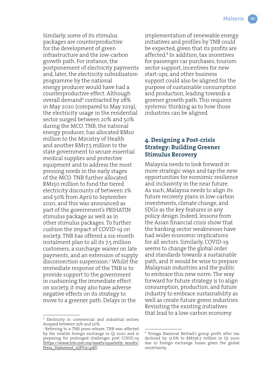Similarly, some of its stimulus packages are counterproductive for the development of green infrastructure and the low-carbon growth path. For instance, the postponement of electricity payments and, later, the electricity subsidisation programme by the national energy producer would have had a counterproductive effect. Although overall demand<sup>6</sup> contracted by 28% in May 2020 (compared to May 2019), the electricity usage in the residential sector surged between 20% and 50% during the MCO. TNB, the national energy producer, has allocated RM10 million to the Ministry of Health and another RM17.5 million to the state government to secure essential medical supplies and protective equipment and to address the most pressing needs in the early stages of the MCO. TNB further allocated RM150 million to fund the tiered electricity discounts of between 2% and 50% from April to September 2020, and this was announced as part of the government's PRIHATIN stimulus package as well as in other stimulus packages. To further cushion the impact of COVID-19 on society, TNB has offered a six-month instalment plan to all its 7.5 million customers, a surcharge waiver on late payments, and an extension of supply disconnection suspension.7 Whilst the immediate response of the TNB is to provide support to the government in cushioning the immediate effect on society, it may also have adverse negative effects on its strategy to move to a greener path. Delays in the

implementation of renewable energy initiatives and profiles by TNB could be expected, given that its profits are affected.8 In addition, tax incentives for passenger car purchases, tourism sector support, incentives for new start-ups, and other business support could also be aligned for the purpose of sustainable consumption and production, leading towards a greener growth path. This requires systemic thinking as to how those industries can be aligned.

#### **4. Designing a Post-crisis Strategy: Building Greener Stimulus Recovery**

Malaysia needs to look forward in more strategic ways and tap the new opportunities for economic resilience and inclusivity in the near future. As such, Malaysia needs to align its future recovery plans in low-carbon investments, climate change, and SDGs as the key features in any policy design. Indeed, lessons from the Asian financial crisis show that the banking sector weaknesses have had wider economic implications for all sectors. Similarly, COVID-19 seems to change the global order and standards towards a sustainable path, and it would be wise to prepare Malaysian industries and the public to embrace this new norm. The way forward for future strategy is to align consumption, production, and future industry to embrace sustainability as well as create future green industries. Revisiting the existing initiatives that lead to a low-carbon economy

<sup>6</sup> Electricity in commercial and industrial sectors dropped between 25% and 50%.

<sup>7</sup> Referring to a TNB press release, TNB was affected by the volatile foreign exchange in Q1 2020 and is preparing for prolonged challenges post COVID-19 (https://www.tnb.com.my/assets/quarterly\_results/ Press\_Statement\_1OFY20.pdf).

<sup>8</sup> Tenaga Nasional Berhad's group profit after tax declined by 51.6% to RM736.7 million in Q1 2020 due to foreign exchange losses given the global uncertainty.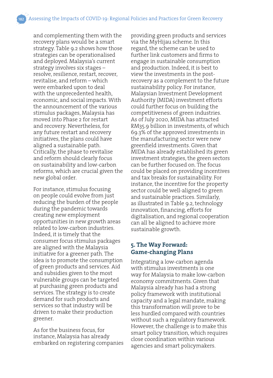and complementing them with the recovery plans would be a smart strategy. Table 9.2 shows how those strategies can be operationalised and deployed. Malaysia's current strategy involves six stages – resolve, resilience, restart, recover, revitalise, and reform – which were embarked upon to deal with the unprecedented health, economic, and social impacts. With the announcement of the various stimulus packages, Malaysia has moved into Phase 2 for restart and recovery. Nevertheless, for any future restart and recovery initiatives, the plans could have aligned a sustainable path. Critically, the phase to revitalise and reform should clearly focus on sustainability and low-carbon reforms, which are crucial given the new global order.

For instance, stimulus focusing on people could evolve from just reducing the burden of the people during the pandemic towards creating new employment opportunities in new growth areas related to low-carbon industries. Indeed, it is timely that the consumer focus stimulus packages are aligned with the Malaysia initiative for a greener path. The idea is to promote the consumption of green products and services. Aid and subsidies given to the most vulnerable groups can be targeted at purchasing green products and services. The strategy is to create demand for such products and services so that industry will be driven to make their production greener.

As for the business focus, for instance, Malaysia has already embarked on registering companies providing green products and services via the MyHijau scheme. In this regard, the scheme can be used to further link customers and firms to engage in sustainable consumption and production. Indeed, it is best to view the investments in the postrecovery as a complement to the future sustainability policy. For instance, Malaysian Investment Development Authority (MIDA) investment efforts could further focus on building the competitiveness of green industries. As of July 2020, MIDA has attracted RM35.9 billion in investments, of which 69.3% of the approved investments in the manufacturing sector were new greenfield investments. Given that MIDA has already established its green investment strategies, the green sectors can be further focused on. The focus could be placed on providing incentives and tax breaks for sustainability. For instance, the incentive for the property sector could be well-aligned to green and sustainable practices. Similarly, as illustrated in Table 9.2, technology innovation, financing, efforts for digitalisation, and regional cooperation can all be aligned to achieve more sustainable growth.

#### **5. The Way Forward: Game-changing Plans**

Integrating a low-carbon agenda with stimulus investments is one way for Malaysia to make low-carbon economy commitments. Given that Malaysia already has had a strong policy framework with institutional capacity and a legal mandate, making this transformation will prove to be less hurdled compared with countries without such a regulatory framework. However, the challenge is to make this smart policy transition, which requires close coordination within various agencies and smart policymakers.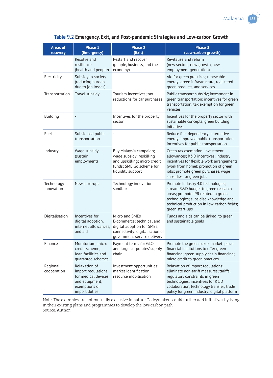| <b>Areas of</b><br>recovery | <b>Phase 1</b><br>(Emergency)                                                                                  | Phase 2<br>(Exit)                                                                                                                           | Phase 3<br>(Low-carbon growth)                                                                                                                                                                                                                  |
|-----------------------------|----------------------------------------------------------------------------------------------------------------|---------------------------------------------------------------------------------------------------------------------------------------------|-------------------------------------------------------------------------------------------------------------------------------------------------------------------------------------------------------------------------------------------------|
|                             | Resolve and<br>resilience<br>(health and people)                                                               | Restart and recover<br>(people, business, and the<br>economy)                                                                               | Revitalise and reform<br>(new sectors, new growth, new<br>employment generation)                                                                                                                                                                |
| Electricity                 | Subsidy to society<br>(reducing burden<br>due to job losses)                                                   |                                                                                                                                             | Aid for green practices; renewable<br>energy; green infrastructure, registered<br>green products, and services                                                                                                                                  |
| Transportation              | Travel subsidy                                                                                                 | Tourism incentives; tax<br>reductions for car purchases                                                                                     | Public transport subsidy; investment in<br>green transportation; incentives for green<br>transportation; tax exemption for green<br>vehicles                                                                                                    |
| Building                    |                                                                                                                | Incentives for the property<br>sector                                                                                                       | Incentives for the property sector with<br>sustainable concepts; green building<br>initiatives                                                                                                                                                  |
| Fuel                        | Subsidised public<br>transportation                                                                            |                                                                                                                                             | Reduce fuel dependency; alternative<br>energy; improved public transportation,<br>incentives for public transportation                                                                                                                          |
| Industry                    | Wage subsidy<br>(sustain<br>employment)                                                                        | Buy Malaysia campaign;<br>wage subsidy; reskilling<br>and upskilling; micro credit<br>funds; SME Go scheme for<br>liquidity support         | Green tax exemption; investment<br>allowances; R&D incentives; industry<br>incentives for flexible work arrangements<br>(work from home); promotion of green<br>jobs; promote green purchases, wage<br>subsidies for green jobs                 |
| Technology<br>Innovation    | New start-ups                                                                                                  | Technology innovation<br>sandbox                                                                                                            | Promote Industry 4.0 technologies;<br>stream R&D budget to green research<br>areas; promote IPR related to green<br>technologies; subsidise knowledge and<br>technical production in low-carbon fields;<br>green start-ups                      |
| Digitalisation              | Incentives for<br>digital adoption,<br>internet allowances,<br>and aid                                         | Micro and SMEs<br>E-commerce; technical and<br>digital adoption for SMEs;<br>connectivity; digitalisation of<br>government service delivery | Funds and aids can be linked to green<br>and sustainable goals                                                                                                                                                                                  |
| Finance                     | Moratorium; micro<br>credit scheme:<br>loan facilities and<br>quarantee schemes                                | Payment terms for GLCs<br>and large corporates' supply<br>chain                                                                             | Promote the green sukuk market; place<br>financial institutions to offer green<br>financing; green supply chain financing;<br>micro credit to green practices                                                                                   |
| Regional<br>cooperation     | Relaxation of<br>import regulations<br>for medical devices<br>and equipment;<br>exemptions of<br>import duties | Investment opportunities;<br>market identification;<br>resource mobilisation                                                                | Relaxation of import regulations;<br>eliminate non-tariff measures; tariffs,<br>regulatory constraints in green<br>technologies; incentives for R&D<br>collaboration, technology transfer; trade<br>policy for green industry; digital platform |

#### **Table 9.2 Emergency, Exit, and Post-pandemic Strategies and Low-carbon Growth**

Note: The examples are not mutually exclusive in nature. Policymakers could further add initiatives by tying in their existing plans and programmes to develop the low-carbon path. Source: Author.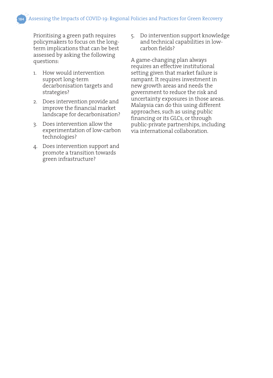Prioritising a green path requires policymakers to focus on the longterm implications that can be best assessed by asking the following questions:

- 1. How would intervention support long-term decarbonisation targets and strategies?
- 2. Does intervention provide and improve the financial market landscape for decarbonisation?
- 3. Does intervention allow the experimentation of low-carbon technologies?
- 4. Does intervention support and promote a transition towards green infrastructure?

5. Do intervention support knowledge and technical capabilities in lowcarbon fields?

A game-changing plan always requires an effective institutional setting given that market failure is rampant. It requires investment in new growth areas and needs the government to reduce the risk and uncertainty exposures in those areas. Malaysia can do this using different approaches, such as using public financing or its GLCs, or through public-private partnerships, including via international collaboration.